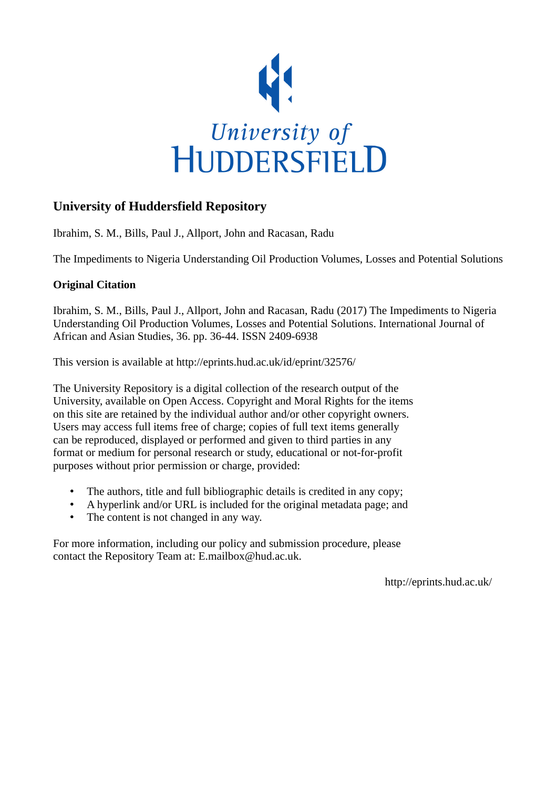

## **University of Huddersfield Repository**

Ibrahim, S. M., Bills, Paul J., Allport, John and Racasan, Radu

The Impediments to Nigeria Understanding Oil Production Volumes, Losses and Potential Solutions

### **Original Citation**

Ibrahim, S. M., Bills, Paul J., Allport, John and Racasan, Radu (2017) The Impediments to Nigeria Understanding Oil Production Volumes, Losses and Potential Solutions. International Journal of African and Asian Studies, 36. pp. 36-44. ISSN 2409-6938

This version is available at http://eprints.hud.ac.uk/id/eprint/32576/

The University Repository is a digital collection of the research output of the University, available on Open Access. Copyright and Moral Rights for the items on this site are retained by the individual author and/or other copyright owners. Users may access full items free of charge; copies of full text items generally can be reproduced, displayed or performed and given to third parties in any format or medium for personal research or study, educational or not-for-profit purposes without prior permission or charge, provided:

- The authors, title and full bibliographic details is credited in any copy;
- A hyperlink and/or URL is included for the original metadata page; and
- The content is not changed in any way.

For more information, including our policy and submission procedure, please contact the Repository Team at: E.mailbox@hud.ac.uk.

http://eprints.hud.ac.uk/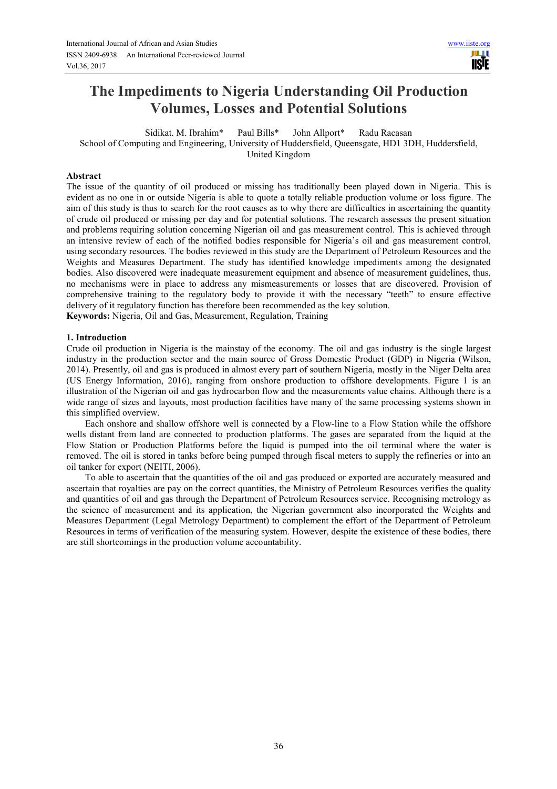# **The Impediments to Nigeria Understanding Oil Production Volumes, Losses and Potential Solutions**

Sidikat. M. Ibrahim\* Paul Bills\* John Allport\* Radu Racasan School of Computing and Engineering, University of Huddersfield, Queensgate, HD1 3DH, Huddersfield, United Kingdom

#### **Abstract**

The issue of the quantity of oil produced or missing has traditionally been played down in Nigeria. This is evident as no one in or outside Nigeria is able to quote a totally reliable production volume or loss figure. The aim of this study is thus to search for the root causes as to why there are difficulties in ascertaining the quantity of crude oil produced or missing per day and for potential solutions. The research assesses the present situation and problems requiring solution concerning Nigerian oil and gas measurement control. This is achieved through an intensive review of each of the notified bodies responsible for Nigeria's oil and gas measurement control, using secondary resources. The bodies reviewed in this study are the Department of Petroleum Resources and the Weights and Measures Department. The study has identified knowledge impediments among the designated bodies. Also discovered were inadequate measurement equipment and absence of measurement guidelines, thus, no mechanisms were in place to address any mismeasurements or losses that are discovered. Provision of comprehensive training to the regulatory body to provide it with the necessary "teeth" to ensure effective delivery of it regulatory function has therefore been recommended as the key solution.

**Keywords:** Nigeria, Oil and Gas, Measurement, Regulation, Training

#### **1. Introduction**

Crude oil production in Nigeria is the mainstay of the economy. The oil and gas industry is the single largest industry in the production sector and the main source of Gross Domestic Product (GDP) in Nigeria (Wilson, 2014). Presently, oil and gas is produced in almost every part of southern Nigeria, mostly in the Niger Delta area (US Energy Information, 2016), ranging from onshore production to offshore developments. Figure 1 is an illustration of the Nigerian oil and gas hydrocarbon flow and the measurements value chains. Although there is a wide range of sizes and layouts, most production facilities have many of the same processing systems shown in this simplified overview.

Each onshore and shallow offshore well is connected by a Flow-line to a Flow Station while the offshore wells distant from land are connected to production platforms. The gases are separated from the liquid at the Flow Station or Production Platforms before the liquid is pumped into the oil terminal where the water is removed. The oil is stored in tanks before being pumped through fiscal meters to supply the refineries or into an oil tanker for export (NEITI, 2006).

To able to ascertain that the quantities of the oil and gas produced or exported are accurately measured and ascertain that royalties are pay on the correct quantities, the Ministry of Petroleum Resources verifies the quality and quantities of oil and gas through the Department of Petroleum Resources service. Recognising metrology as the science of measurement and its application, the Nigerian government also incorporated the Weights and Measures Department (Legal Metrology Department) to complement the effort of the Department of Petroleum Resources in terms of verification of the measuring system. However, despite the existence of these bodies, there are still shortcomings in the production volume accountability.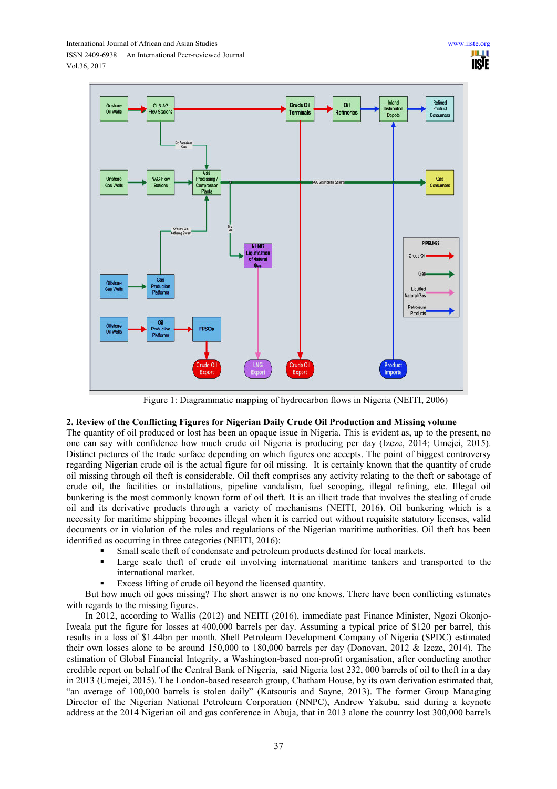

Figure 1: Diagrammatic mapping of hydrocarbon flows in Nigeria (NEITI, 2006)

### **2. Review of the Conflicting Figures for Nigerian Daily Crude Oil Production and Missing volume**

The quantity of oil produced or lost has been an opaque issue in Nigeria. This is evident as, up to the present, no one can say with confidence how much crude oil Nigeria is producing per day (Izeze, 2014; Umejei, 2015). Distinct pictures of the trade surface depending on which figures one accepts. The point of biggest controversy regarding Nigerian crude oil is the actual figure for oil missing. It is certainly known that the quantity of crude oil missing through oil theft is considerable. Oil theft comprises any activity relating to the theft or sabotage of crude oil, the facilities or installations, pipeline vandalism, fuel scooping, illegal refining, etc. Illegal oil bunkering is the most commonly known form of oil theft. It is an illicit trade that involves the stealing of crude oil and its derivative products through a variety of mechanisms (NEITI, 2016). Oil bunkering which is a necessity for maritime shipping becomes illegal when it is carried out without requisite statutory licenses, valid documents or in violation of the rules and regulations of the Nigerian maritime authorities. Oil theft has been identified as occurring in three categories (NEITI, 2016):

- Small scale theft of condensate and petroleum products destined for local markets.
- Large scale theft of crude oil involving international maritime tankers and transported to the international market.
- Excess lifting of crude oil beyond the licensed quantity.

But how much oil goes missing? The short answer is no one knows. There have been conflicting estimates with regards to the missing figures.

In 2012, according to Wallis (2012) and NEITI (2016), immediate past Finance Minister, Ngozi Okonjo-Iweala put the figure for losses at 400,000 barrels per day. Assuming a typical price of \$120 per barrel, this results in a loss of \$1.44bn per month. Shell Petroleum Development Company of Nigeria (SPDC) estimated their own losses alone to be around 150,000 to 180,000 barrels per day (Donovan, 2012 & Izeze, 2014). The estimation of Global Financial Integrity, a Washington-based non-profit organisation, after conducting another credible report on behalf of the Central Bank of Nigeria, said Nigeria lost 232, 000 barrels of oil to theft in a day in 2013 (Umejei, 2015). The London-based research group, Chatham House, by its own derivation estimated that, "an average of 100,000 barrels is stolen daily" (Katsouris and Sayne, 2013). The former Group Managing Director of the Nigerian National Petroleum Corporation (NNPC), Andrew Yakubu, said during a keynote address at the 2014 Nigerian oil and gas conference in Abuja, that in 2013 alone the country lost 300,000 barrels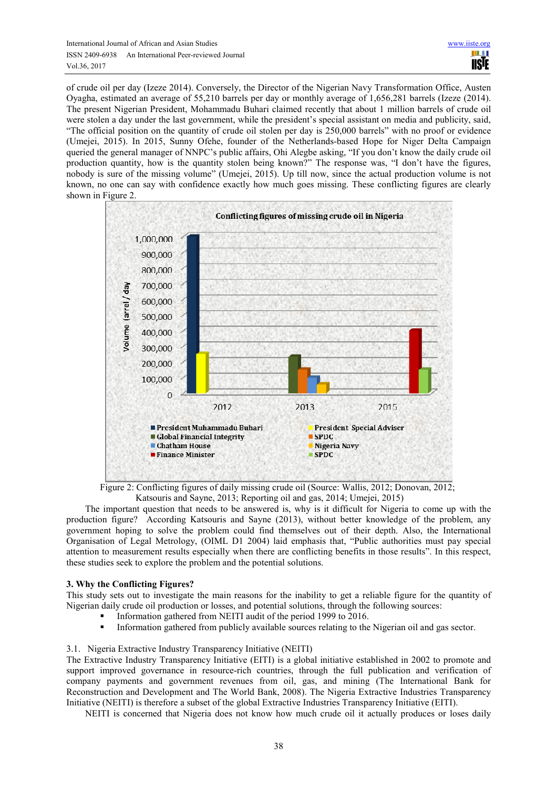of crude oil per day (Izeze 2014). Conversely, the Director of the Nigerian Navy Transformation Office, Austen Oyagha, estimated an average of 55,210 barrels per day or monthly average of 1,656,281 barrels (Izeze (2014). The present Nigerian President, Mohammadu Buhari claimed recently that about 1 million barrels of crude oil were stolen a day under the last government, while the president's special assistant on media and publicity, said, "The official position on the quantity of crude oil stolen per day is 250,000 barrels" with no proof or evidence (Umejei, 2015). In 2015, Sunny Ofehe, founder of the Netherlands-based Hope for Niger Delta Campaign queried the general manager of NNPC's public affairs, Ohi Alegbe asking, "If you don't know the daily crude oil production quantity, how is the quantity stolen being known?" The response was, "I don't have the figures, nobody is sure of the missing volume" (Umejei, 2015). Up till now, since the actual production volume is not known, no one can say with confidence exactly how much goes missing. These conflicting figures are clearly shown in Figure 2.



Figure 2: Conflicting figures of daily missing crude oil (Source: Wallis, 2012; Donovan, 2012; Katsouris and Sayne, 2013; Reporting oil and gas, 2014; Umejei, 2015)

The important question that needs to be answered is, why is it difficult for Nigeria to come up with the production figure? According Katsouris and Sayne (2013), without better knowledge of the problem, any government hoping to solve the problem could find themselves out of their depth. Also, the International Organisation of Legal Metrology, (OIML D1 2004) laid emphasis that, "Public authorities must pay special attention to measurement results especially when there are conflicting benefits in those results". In this respect, these studies seek to explore the problem and the potential solutions.

#### **3. Why the Conflicting Figures?**

This study sets out to investigate the main reasons for the inability to get a reliable figure for the quantity of Nigerian daily crude oil production or losses, and potential solutions, through the following sources:

- Information gathered from NEITI audit of the period 1999 to 2016.
- Information gathered from publicly available sources relating to the Nigerian oil and gas sector.

#### 3.1. Nigeria Extractive Industry Transparency Initiative (NEITI)

The Extractive Industry Transparency Initiative (EITI) is a global initiative established in 2002 to promote and support improved governance in resource-rich countries, through the full publication and verification of company payments and government revenues from oil, gas, and mining (The International Bank for Reconstruction and Development and The World Bank, 2008). The Nigeria Extractive Industries Transparency Initiative (NEITI) is therefore a subset of the global Extractive Industries Transparency Initiative (EITI).

NEITI is concerned that Nigeria does not know how much crude oil it actually produces or loses daily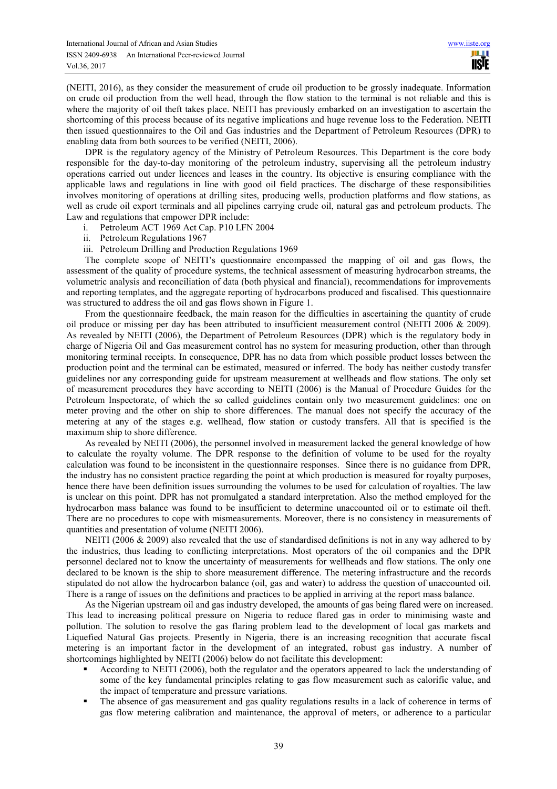(NEITI, 2016), as they consider the measurement of crude oil production to be grossly inadequate. Information on crude oil production from the well head, through the flow station to the terminal is not reliable and this is where the majority of oil theft takes place. NEITI has previously embarked on an investigation to ascertain the shortcoming of this process because of its negative implications and huge revenue loss to the Federation. NEITI then issued questionnaires to the Oil and Gas industries and the Department of Petroleum Resources (DPR) to enabling data from both sources to be verified (NEITI, 2006).

DPR is the regulatory agency of the Ministry of Petroleum Resources. This Department is the core body responsible for the day-to-day monitoring of the petroleum industry, supervising all the petroleum industry operations carried out under licences and leases in the country. Its objective is ensuring compliance with the applicable laws and regulations in line with good oil field practices. The discharge of these responsibilities involves monitoring of operations at drilling sites, producing wells, production platforms and flow stations, as well as crude oil export terminals and all pipelines carrying crude oil, natural gas and petroleum products. The Law and regulations that empower DPR include:

- i. Petroleum ACT 1969 Act Cap. P10 LFN 2004
- ii. Petroleum Regulations 1967
- iii. Petroleum Drilling and Production Regulations 1969

The complete scope of NEITI's questionnaire encompassed the mapping of oil and gas flows, the assessment of the quality of procedure systems, the technical assessment of measuring hydrocarbon streams, the volumetric analysis and reconciliation of data (both physical and financial), recommendations for improvements and reporting templates, and the aggregate reporting of hydrocarbons produced and fiscalised. This questionnaire was structured to address the oil and gas flows shown in Figure 1.

From the questionnaire feedback, the main reason for the difficulties in ascertaining the quantity of crude oil produce or missing per day has been attributed to insufficient measurement control (NEITI 2006 & 2009). As revealed by NEITI (2006), the Department of Petroleum Resources (DPR) which is the regulatory body in charge of Nigeria Oil and Gas measurement control has no system for measuring production, other than through monitoring terminal receipts. In consequence, DPR has no data from which possible product losses between the production point and the terminal can be estimated, measured or inferred. The body has neither custody transfer guidelines nor any corresponding guide for upstream measurement at wellheads and flow stations. The only set of measurement procedures they have according to NEITI (2006) is the Manual of Procedure Guides for the Petroleum Inspectorate, of which the so called guidelines contain only two measurement guidelines: one on meter proving and the other on ship to shore differences. The manual does not specify the accuracy of the metering at any of the stages e.g. wellhead, flow station or custody transfers. All that is specified is the maximum ship to shore difference.

As revealed by NEITI (2006), the personnel involved in measurement lacked the general knowledge of how to calculate the royalty volume. The DPR response to the definition of volume to be used for the royalty calculation was found to be inconsistent in the questionnaire responses. Since there is no guidance from DPR, the industry has no consistent practice regarding the point at which production is measured for royalty purposes, hence there have been definition issues surrounding the volumes to be used for calculation of royalties. The law is unclear on this point. DPR has not promulgated a standard interpretation. Also the method employed for the hydrocarbon mass balance was found to be insufficient to determine unaccounted oil or to estimate oil theft. There are no procedures to cope with mismeasurements. Moreover, there is no consistency in measurements of quantities and presentation of volume (NEITI 2006).

NEITI (2006  $\&$  2009) also revealed that the use of standardised definitions is not in any way adhered to by the industries, thus leading to conflicting interpretations. Most operators of the oil companies and the DPR personnel declared not to know the uncertainty of measurements for wellheads and flow stations. The only one declared to be known is the ship to shore measurement difference. The metering infrastructure and the records stipulated do not allow the hydrocarbon balance (oil, gas and water) to address the question of unaccounted oil. There is a range of issues on the definitions and practices to be applied in arriving at the report mass balance.

As the Nigerian upstream oil and gas industry developed, the amounts of gas being flared were on increased. This lead to increasing political pressure on Nigeria to reduce flared gas in order to minimising waste and pollution. The solution to resolve the gas flaring problem lead to the development of local gas markets and Liquefied Natural Gas projects. Presently in Nigeria, there is an increasing recognition that accurate fiscal metering is an important factor in the development of an integrated, robust gas industry. A number of shortcomings highlighted by NEITI (2006) below do not facilitate this development:

- According to NEITI (2006), both the regulator and the operators appeared to lack the understanding of some of the key fundamental principles relating to gas flow measurement such as calorific value, and the impact of temperature and pressure variations.
- The absence of gas measurement and gas quality regulations results in a lack of coherence in terms of gas flow metering calibration and maintenance, the approval of meters, or adherence to a particular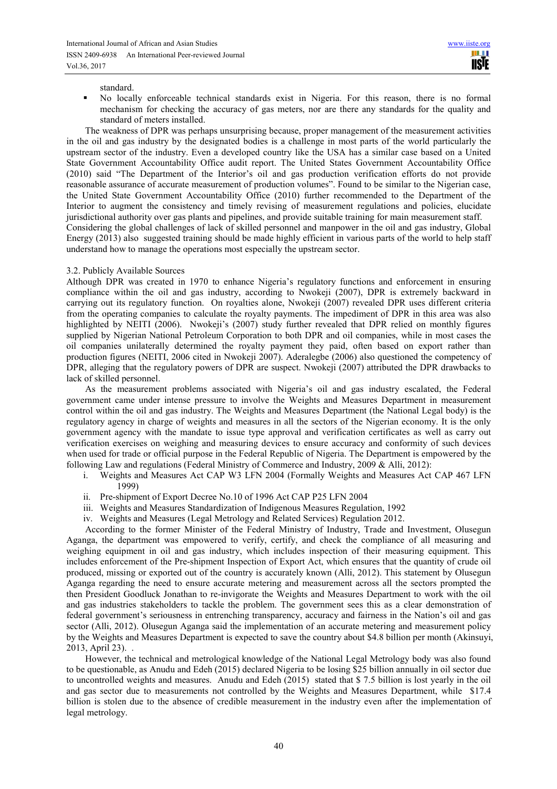standard.

 No locally enforceable technical standards exist in Nigeria. For this reason, there is no formal mechanism for checking the accuracy of gas meters, nor are there any standards for the quality and standard of meters installed.

The weakness of DPR was perhaps unsurprising because, proper management of the measurement activities in the oil and gas industry by the designated bodies is a challenge in most parts of the world particularly the upstream sector of the industry. Even a developed country like the USA has a similar case based on a United State Government Accountability Office audit report. The United States Government Accountability Office (2010) said "The Department of the Interior's oil and gas production verification efforts do not provide reasonable assurance of accurate measurement of production volumes". Found to be similar to the Nigerian case, the United State Government Accountability Office (2010) further recommended to the Department of the Interior to augment the consistency and timely revising of measurement regulations and policies, elucidate jurisdictional authority over gas plants and pipelines, and provide suitable training for main measurement staff. Considering the global challenges of lack of skilled personnel and manpower in the oil and gas industry, Global

Energy (2013) also suggested training should be made highly efficient in various parts of the world to help staff understand how to manage the operations most especially the upstream sector.

#### 3.2. Publicly Available Sources

Although DPR was created in 1970 to enhance Nigeria's regulatory functions and enforcement in ensuring compliance within the oil and gas industry, according to Nwokeji (2007), DPR is extremely backward in carrying out its regulatory function. On royalties alone, Nwokeji (2007) revealed DPR uses different criteria from the operating companies to calculate the royalty payments. The impediment of DPR in this area was also highlighted by NEITI (2006). Nwokeji's (2007) study further revealed that DPR relied on monthly figures supplied by Nigerian National Petroleum Corporation to both DPR and oil companies, while in most cases the oil companies unilaterally determined the royalty payment they paid, often based on export rather than production figures (NEITI, 2006 cited in Nwokeji 2007). Aderalegbe (2006) also questioned the competency of DPR, alleging that the regulatory powers of DPR are suspect. Nwokeji (2007) attributed the DPR drawbacks to lack of skilled personnel.

As the measurement problems associated with Nigeria's oil and gas industry escalated, the Federal government came under intense pressure to involve the Weights and Measures Department in measurement control within the oil and gas industry. The Weights and Measures Department (the National Legal body) is the regulatory agency in charge of weights and measures in all the sectors of the Nigerian economy. It is the only government agency with the mandate to issue type approval and verification certificates as well as carry out verification exercises on weighing and measuring devices to ensure accuracy and conformity of such devices when used for trade or official purpose in the Federal Republic of Nigeria. The Department is empowered by the following Law and regulations (Federal Ministry of Commerce and Industry, 2009 & Alli, 2012):

- i. Weights and Measures Act CAP W3 LFN 2004 (Formally Weights and Measures Act CAP 467 LFN 1999)
- ii. Pre-shipment of Export Decree No.10 of 1996 Act CAP P25 LFN 2004
- iii. Weights and Measures Standardization of Indigenous Measures Regulation, 1992
- iv. Weights and Measures (Legal Metrology and Related Services) Regulation 2012.

According to the former Minister of the Federal Ministry of Industry, Trade and Investment, Olusegun Aganga, the department was empowered to verify, certify, and check the compliance of all measuring and weighing equipment in oil and gas industry, which includes inspection of their measuring equipment. This includes enforcement of the Pre-shipment Inspection of Export Act, which ensures that the quantity of crude oil produced, missing or exported out of the country is accurately known (Alli, 2012). This statement by Olusegun Aganga regarding the need to ensure accurate metering and measurement across all the sectors prompted the then President Goodluck Jonathan to re-invigorate the Weights and Measures Department to work with the oil and gas industries stakeholders to tackle the problem. The government sees this as a clear demonstration of federal government's seriousness in entrenching transparency, accuracy and fairness in the Nation's oil and gas sector (Alli, 2012). Olusegun Aganga said the implementation of an accurate metering and measurement policy by the Weights and Measures Department is expected to save the country about \$4.8 billion per month (Akinsuyi, 2013, April 23). .

However, the technical and metrological knowledge of the National Legal Metrology body was also found to be questionable, as Anudu and Edeh (2015) declared Nigeria to be losing \$25 billion annually in oil sector due to uncontrolled weights and measures. Anudu and Edeh (2015) stated that \$ 7.5 billion is lost yearly in the oil and gas sector due to measurements not controlled by the Weights and Measures Department, while \$17.4 billion is stolen due to the absence of credible measurement in the industry even after the implementation of legal metrology.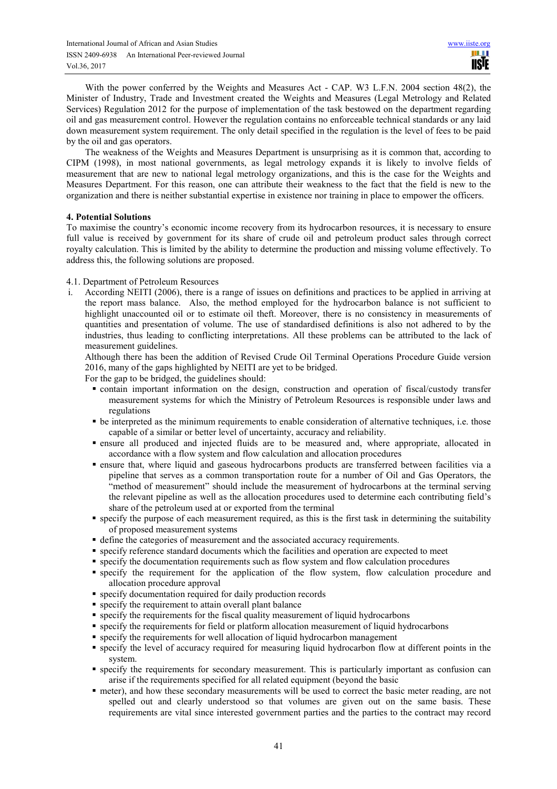With the power conferred by the Weights and Measures Act - CAP. W3 L.F.N. 2004 section 48(2), the Minister of Industry, Trade and Investment created the Weights and Measures (Legal Metrology and Related Services) Regulation 2012 for the purpose of implementation of the task bestowed on the department regarding oil and gas measurement control. However the regulation contains no enforceable technical standards or any laid down measurement system requirement. The only detail specified in the regulation is the level of fees to be paid by the oil and gas operators.

The weakness of the Weights and Measures Department is unsurprising as it is common that, according to CIPM (1998), in most national governments, as legal metrology expands it is likely to involve fields of measurement that are new to national legal metrology organizations, and this is the case for the Weights and Measures Department. For this reason, one can attribute their weakness to the fact that the field is new to the organization and there is neither substantial expertise in existence nor training in place to empower the officers.

#### **4. Potential Solutions**

To maximise the country's economic income recovery from its hydrocarbon resources, it is necessary to ensure full value is received by government for its share of crude oil and petroleum product sales through correct royalty calculation. This is limited by the ability to determine the production and missing volume effectively. To address this, the following solutions are proposed.

#### 4.1. Department of Petroleum Resources

According NEITI (2006), there is a range of issues on definitions and practices to be applied in arriving at the report mass balance. Also, the method employed for the hydrocarbon balance is not sufficient to highlight unaccounted oil or to estimate oil theft. Moreover, there is no consistency in measurements of quantities and presentation of volume. The use of standardised definitions is also not adhered to by the industries, thus leading to conflicting interpretations. All these problems can be attributed to the lack of measurement guidelines.

Although there has been the addition of Revised Crude Oil Terminal Operations Procedure Guide version 2016, many of the gaps highlighted by NEITI are yet to be bridged.

For the gap to be bridged, the guidelines should:

- contain important information on the design, construction and operation of fiscal/custody transfer measurement systems for which the Ministry of Petroleum Resources is responsible under laws and regulations
- be interpreted as the minimum requirements to enable consideration of alternative techniques, i.e. those capable of a similar or better level of uncertainty, accuracy and reliability.
- ensure all produced and injected fluids are to be measured and, where appropriate, allocated in accordance with a flow system and flow calculation and allocation procedures
- ensure that, where liquid and gaseous hydrocarbons products are transferred between facilities via a pipeline that serves as a common transportation route for a number of Oil and Gas Operators, the "method of measurement" should include the measurement of hydrocarbons at the terminal serving the relevant pipeline as well as the allocation procedures used to determine each contributing field's share of the petroleum used at or exported from the terminal
- specify the purpose of each measurement required, as this is the first task in determining the suitability of proposed measurement systems
- define the categories of measurement and the associated accuracy requirements.
- specify reference standard documents which the facilities and operation are expected to meet
- specify the documentation requirements such as flow system and flow calculation procedures
- specify the requirement for the application of the flow system, flow calculation procedure and allocation procedure approval
- specify documentation required for daily production records
- specify the requirement to attain overall plant balance
- specify the requirements for the fiscal quality measurement of liquid hydrocarbons
- specify the requirements for field or platform allocation measurement of liquid hydrocarbons
- specify the requirements for well allocation of liquid hydrocarbon management
- specify the level of accuracy required for measuring liquid hydrocarbon flow at different points in the system.
- specify the requirements for secondary measurement. This is particularly important as confusion can arise if the requirements specified for all related equipment (beyond the basic
- meter), and how these secondary measurements will be used to correct the basic meter reading, are not spelled out and clearly understood so that volumes are given out on the same basis. These requirements are vital since interested government parties and the parties to the contract may record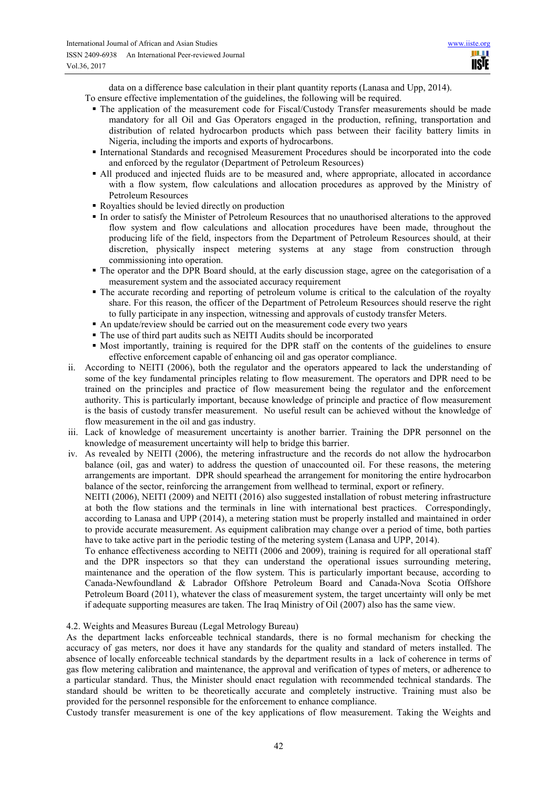data on a difference base calculation in their plant quantity reports (Lanasa and Upp, 2014).

To ensure effective implementation of the guidelines, the following will be required.

- The application of the measurement code for Fiscal/Custody Transfer measurements should be made mandatory for all Oil and Gas Operators engaged in the production, refining, transportation and distribution of related hydrocarbon products which pass between their facility battery limits in Nigeria, including the imports and exports of hydrocarbons.
- International Standards and recognised Measurement Procedures should be incorporated into the code and enforced by the regulator (Department of Petroleum Resources)
- All produced and injected fluids are to be measured and, where appropriate, allocated in accordance with a flow system, flow calculations and allocation procedures as approved by the Ministry of Petroleum Resources
- Royalties should be levied directly on production
- In order to satisfy the Minister of Petroleum Resources that no unauthorised alterations to the approved flow system and flow calculations and allocation procedures have been made, throughout the producing life of the field, inspectors from the Department of Petroleum Resources should, at their discretion, physically inspect metering systems at any stage from construction through commissioning into operation.
- The operator and the DPR Board should, at the early discussion stage, agree on the categorisation of a measurement system and the associated accuracy requirement
- The accurate recording and reporting of petroleum volume is critical to the calculation of the royalty share. For this reason, the officer of the Department of Petroleum Resources should reserve the right to fully participate in any inspection, witnessing and approvals of custody transfer Meters.
- An update/review should be carried out on the measurement code every two vears
- The use of third part audits such as NEITI Audits should be incorporated
- Most importantly, training is required for the DPR staff on the contents of the guidelines to ensure effective enforcement capable of enhancing oil and gas operator compliance.
- ii. According to NEITI (2006), both the regulator and the operators appeared to lack the understanding of some of the key fundamental principles relating to flow measurement. The operators and DPR need to be trained on the principles and practice of flow measurement being the regulator and the enforcement authority. This is particularly important, because knowledge of principle and practice of flow measurement is the basis of custody transfer measurement. No useful result can be achieved without the knowledge of flow measurement in the oil and gas industry.
- iii. Lack of knowledge of measurement uncertainty is another barrier. Training the DPR personnel on the knowledge of measurement uncertainty will help to bridge this barrier.
- iv. As revealed by NEITI (2006), the metering infrastructure and the records do not allow the hydrocarbon balance (oil, gas and water) to address the question of unaccounted oil. For these reasons, the metering arrangements are important. DPR should spearhead the arrangement for monitoring the entire hydrocarbon balance of the sector, reinforcing the arrangement from wellhead to terminal, export or refinery.

NEITI (2006), NEITI (2009) and NEITI (2016) also suggested installation of robust metering infrastructure at both the flow stations and the terminals in line with international best practices. Correspondingly, according to Lanasa and UPP (2014), a metering station must be properly installed and maintained in order to provide accurate measurement. As equipment calibration may change over a period of time, both parties have to take active part in the periodic testing of the metering system (Lanasa and UPP, 2014).

To enhance effectiveness according to NEITI (2006 and 2009), training is required for all operational staff and the DPR inspectors so that they can understand the operational issues surrounding metering, maintenance and the operation of the flow system. This is particularly important because, according to Canada-Newfoundland & Labrador Offshore Petroleum Board and Canada-Nova Scotia Offshore Petroleum Board (2011), whatever the class of measurement system, the target uncertainty will only be met if adequate supporting measures are taken. The Iraq Ministry of Oil (2007) also has the same view.

#### 4.2. Weights and Measures Bureau (Legal Metrology Bureau)

As the department lacks enforceable technical standards, there is no formal mechanism for checking the accuracy of gas meters, nor does it have any standards for the quality and standard of meters installed. The absence of locally enforceable technical standards by the department results in a lack of coherence in terms of gas flow metering calibration and maintenance, the approval and verification of types of meters, or adherence to a particular standard. Thus, the Minister should enact regulation with recommended technical standards. The standard should be written to be theoretically accurate and completely instructive. Training must also be provided for the personnel responsible for the enforcement to enhance compliance.

Custody transfer measurement is one of the key applications of flow measurement. Taking the Weights and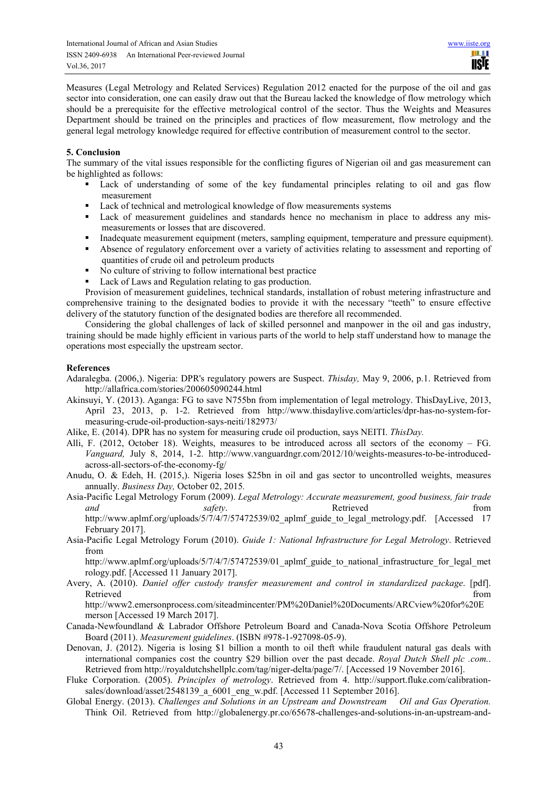Measures (Legal Metrology and Related Services) Regulation 2012 enacted for the purpose of the oil and gas sector into consideration, one can easily draw out that the Bureau lacked the knowledge of flow metrology which should be a prerequisite for the effective metrological control of the sector. Thus the Weights and Measures Department should be trained on the principles and practices of flow measurement, flow metrology and the general legal metrology knowledge required for effective contribution of measurement control to the sector.

#### **5. Conclusion**

The summary of the vital issues responsible for the conflicting figures of Nigerian oil and gas measurement can be highlighted as follows:

- Lack of understanding of some of the key fundamental principles relating to oil and gas flow measurement
- Lack of technical and metrological knowledge of flow measurements systems
- Lack of measurement guidelines and standards hence no mechanism in place to address any mismeasurements or losses that are discovered.
- Inadequate measurement equipment (meters, sampling equipment, temperature and pressure equipment).
- Absence of regulatory enforcement over a variety of activities relating to assessment and reporting of quantities of crude oil and petroleum products
- No culture of striving to follow international best practice
- Lack of Laws and Regulation relating to gas production.

Provision of measurement guidelines, technical standards, installation of robust metering infrastructure and comprehensive training to the designated bodies to provide it with the necessary "teeth" to ensure effective delivery of the statutory function of the designated bodies are therefore all recommended.

Considering the global challenges of lack of skilled personnel and manpower in the oil and gas industry, training should be made highly efficient in various parts of the world to help staff understand how to manage the operations most especially the upstream sector.

#### **References**

- Adaralegba. (2006,). Nigeria: DPR's regulatory powers are Suspect. *Thisday,* May 9, 2006, p.1. Retrieved from http://allafrica.com/stories/200605090244.html
- Akinsuyi, Y. (2013). Aganga: FG to save N755bn from implementation of legal metrology. ThisDayLive, 2013, April 23, 2013, p. 1-2. Retrieved from http://www.thisdaylive.com/articles/dpr-has-no-system-formeasuring-crude-oil-production-says-neiti/182973/
- Alike, E. (2014). DPR has no system for measuring crude oil production, says NEITI. *ThisDay.*
- Alli, F. (2012, October 18). Weights, measures to be introduced across all sectors of the economy FG. *Vanguard,* July 8, 2014, 1-2. http://www.vanguardngr.com/2012/10/weights-measures-to-be-introducedacross-all-sectors-of-the-economy-fg/
- Anudu, O. & Edeh, H. (2015,). Nigeria loses \$25bn in oil and gas sector to uncontrolled weights, measures annually. *Business Day,* October 02, 2015*.*
- Asia-Pacific Legal Metrology Forum (2009). *Legal Metrology: Accurate measurement, good business, fair trade and safety*. Retrieved **here** from http://www.aplmf.org/uploads/5/7/4/7/57472539/02 aplmf guide to legal metrology.pdf. [Accessed 17 February 2017].
- Asia-Pacific Legal Metrology Forum (2010). *Guide 1: National Infrastructure for Legal Metrology*. Retrieved from

http://www.aplmf.org/uploads/5/7/4/7/57472539/01\_aplmf\_guide\_to\_national\_infrastructure\_for\_legal\_met rology.pdf. [Accessed 11 January 2017].

Avery, A. (2010). *Daniel offer custody transfer measurement and control in standardized package*. [pdf]. Retrieved from the contract of the contract of the contract of the contract of the contract of the contract of the contract of the contract of the contract of the contract of the contract of the contract of the contract of

http://www2.emersonprocess.com/siteadmincenter/PM%20Daniel%20Documents/ARCview%20for%20E merson [Accessed 19 March 2017].

- Canada-Newfoundland & Labrador Offshore Petroleum Board and Canada-Nova Scotia Offshore Petroleum Board (2011). *Measurement guidelines*. (ISBN #978-1-927098-05-9).
- Denovan, J. (2012). Nigeria is losing \$1 billion a month to oil theft while fraudulent natural gas deals with international companies cost the country \$29 billion over the past decade. *Royal Dutch Shell plc .com.*. Retrieved from http://royaldutchshellplc.com/tag/niger-delta/page/7/. [Accessed 19 November 2016].
- Fluke Corporation. (2005). *Principles of metrology*. Retrieved from 4. http://support.fluke.com/calibrationsales/download/asset/2548139\_a\_6001\_eng\_w.pdf. [Accessed 11 September 2016].
- Global Energy. (2013). *Challenges and Solutions in an Upstream and Downstream Oil and Gas Operation.* Think Oil. Retrieved from http://globalenergy.pr.co/65678-challenges-and-solutions-in-an-upstream-and-